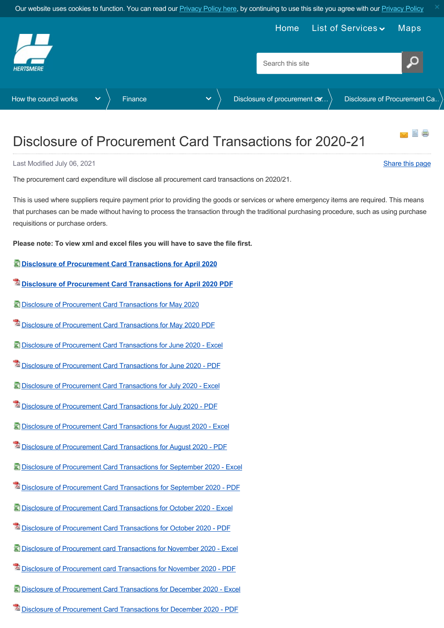<span id="page-0-0"></span>

## Disclosure of Procurement Card Transactions for 2020-21

Last Modified July 06, 2021 [Share this page](http://www.addthis.com/bookmark.php?v=250&pubid=xa-502e5fd570edcb1e) of the state of the state of the state of the state of the state of the state of the state of the state of the state of the state of the state of the state of the state of the st

The procurement card expenditure will disclose all procurement card transactions on 2020/21.

This is used where suppliers require payment prior to providing the goods or services or where emergency items are required. This means that purchases can be made without having to process the transaction through the traditional purchasing procedure, such as using purchase requisitions or purchase orders.

**Please note: To view xml and excel files you will have to save the file first.**

- **[Disclosure of Procurement Card Transactions for April 2020](https://www.hertsmere.gov.uk/Documents/11-Your-Council/How-the-council-works/Finance/Disclosure-of-procurement-card-transactions/2020-21/Disclosure-of-Procurement-Card-Transactions-for-April-2020.xls)**
- **[Disclosure of Procurement Card Transactions for April 2020 PDF](https://www.hertsmere.gov.uk/Documents/11-Your-Council/How-the-council-works/Finance/Disclosure-of-procurement-card-transactions/2020-21/Disclosure-of-Procurement-Card-Transactions-for-April-2020-PDF-203Kb.pdf)**
- [Disclosure of Procurement Card Transactions for May 2020](https://www.hertsmere.gov.uk/Documents/11-Your-Council/How-the-council-works/Finance/Disclosure-of-procurement-card-transactions/2020-21/Disclosure-of-Procurement-Card-Transactions-for-May-2020.xls)
- [Disclosure of Procurement Card Transactions for May 2020 PDF](https://www.hertsmere.gov.uk/Documents/11-Your-Council/How-the-council-works/Finance/Disclosure-of-procurement-card-transactions/2020-21/Disclosure-of-Procurement-Card-Transactions-for-May-2020-PDF.pdf)
- [Disclosure of Procurement Card Transactions for June 2020 Excel](https://www.hertsmere.gov.uk/Documents/11-Your-Council/How-the-council-works/Finance/Disclosure-of-procurement-card-transactions/2020-21/Disclosure-of-Procurement-Card-Transactions-for-June-2020.xls)
- [Disclosure of Procurement Card Transactions for June 2020 PDF](https://www.hertsmere.gov.uk/Documents/11-Your-Council/How-the-council-works/Finance/Disclosure-of-procurement-card-transactions/2020-21/Disclosure-of-Procurement-Card-Transactions-for-June-2020.pdf)
- [Disclosure of Procurement Card Transactions for July 2020 Excel](https://www.hertsmere.gov.uk/Documents/11-Your-Council/How-the-council-works/Finance/Disclosure-of-procurement-card-transactions/2020-21/Disclosure-of-Procurement-Card-Transactions-for-July-2020.xls)
- [Disclosure of Procurement Card Transactions for July 2020 PDF](https://www.hertsmere.gov.uk/Documents/11-Your-Council/How-the-council-works/Finance/Disclosure-of-procurement-card-transactions/2020-21/Disclosure-of-Procurement-Card-Transactions-for-July-2020.pdf)
- [Disclosure of Procurement Card Transactions for August 2020 Excel](https://www.hertsmere.gov.uk/Documents/11-Your-Council/How-the-council-works/Finance/Disclosure-of-procurement-card-transactions/2020-21/Disclosure-of-Procurement-Card-Transactions-for-August-2020.xls)
- [Disclosure of Procurement Card Transactions for August 2020 PDF](https://www.hertsmere.gov.uk/Documents/11-Your-Council/How-the-council-works/Finance/Disclosure-of-procurement-card-transactions/2020-21/Disclosure-of-Procurement-Card-Transactions-for-August-2020.pdf)
- [Disclosure of Procurement Card Transactions for September 2020 Excel](https://www.hertsmere.gov.uk/Documents/11-Your-Council/How-the-council-works/Finance/Disclosure-of-procurement-card-transactions/2020-21/Disclosure-of-Procurement-Card-Transactions-for-September-2020.xls)
- <sup>12</sup> [Disclosure of Procurement Card Transactions for September 2020 PDF](https://www.hertsmere.gov.uk/Documents/11-Your-Council/How-the-council-works/Finance/Disclosure-of-procurement-card-transactions/2020-21/Disclosure-of-Procurement-Card-Transactions-for-September-2020.pdf)
- [Disclosure of Procurement Card Transactions for October 2020 Excel](https://www.hertsmere.gov.uk/Documents/11-Your-Council/How-the-council-works/Finance/Disclosure-of-procurement-card-transactions/2020-21/Disclosure-of-Procurement-Card-Transactions-for-October-2020.xls)
- [Disclosure of Procurement Card Transactions for October 2020 PDF](https://www.hertsmere.gov.uk/Documents/11-Your-Council/How-the-council-works/Finance/Disclosure-of-procurement-card-transactions/2020-21/Disclosure-of-Procurement-Card-Transactions-for-October-2020.pdf)
- [Disclosure of Procurement card Transactions for November 2020 Excel](https://www.hertsmere.gov.uk/Documents/11-Your-Council/How-the-council-works/Finance/Disclosure-of-procurement-card-transactions/2020-21/Disclosure-of-Procurement-card-Transactions-for-November-2020.xls)
- [Disclosure of Procurement card Transactions for November 2020 PDF](https://www.hertsmere.gov.uk/Documents/11-Your-Council/How-the-council-works/Finance/Disclosure-of-procurement-card-transactions/2020-21/Disclosure-of-Procurement-card-transactions-for-November-2020.pdf)
- [Disclosure of Procurement Card Transactions for December 2020 Excel](https://www.hertsmere.gov.uk/Documents/11-Your-Council/How-the-council-works/Finance/Disclosure-of-procurement-card-transactions/2020-21/Disclosure-of-Procurement-Card-Transactions-for-December-2020.xls)
- [Disclosure of Procurement Card Transactions for December 2020 PDF](https://www.hertsmere.gov.uk/Documents/11-Your-Council/How-the-council-works/Finance/Disclosure-of-procurement-card-transactions/2020-21/Disclosure-of-Procurement-Card-Transactions-for-December-2020.pdf)